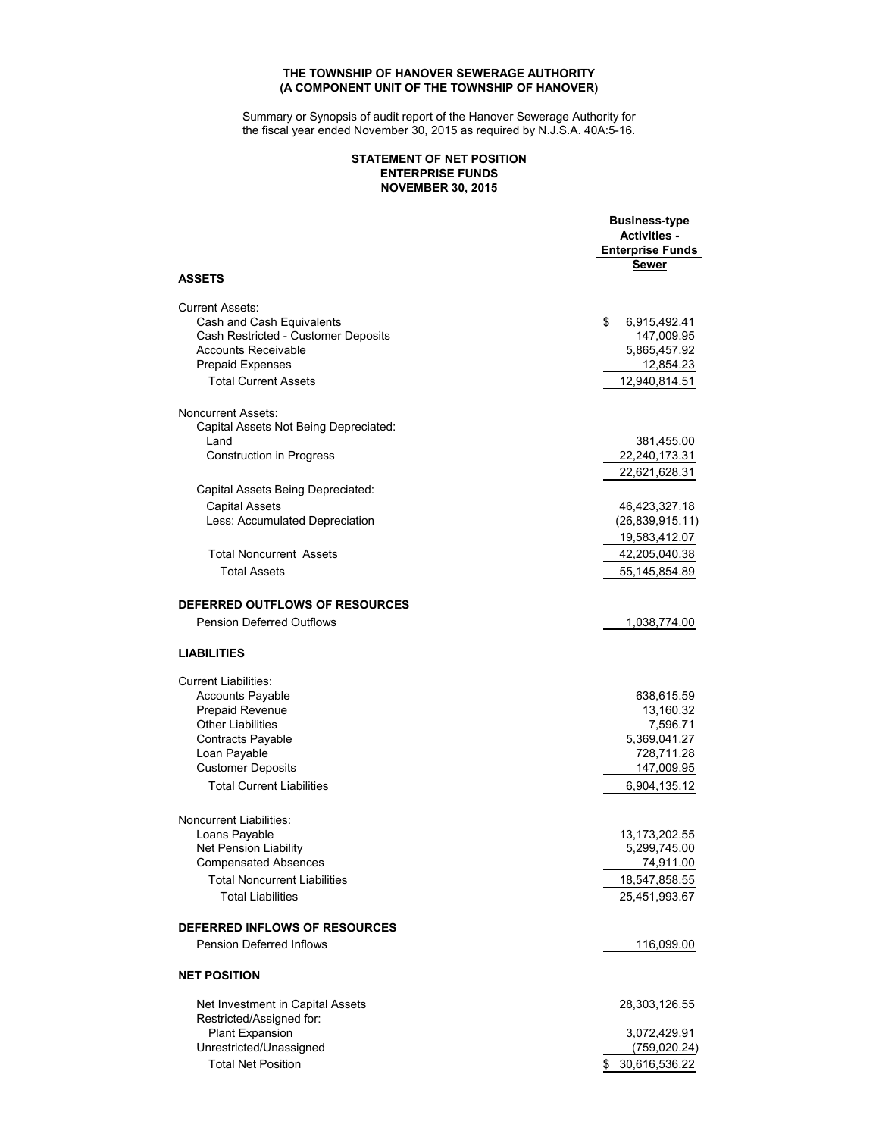### **THE TOWNSHIP OF HANOVER SEWERAGE AUTHORITY (A COMPONENT UNIT OF THE TOWNSHIP OF HANOVER)**

Summary or Synopsis of audit report of the Hanover Sewerage Authority for the fiscal year ended November 30, 2015 as required by N.J.S.A. 40A:5-16.

### **NOVEMBER 30, 2015 STATEMENT OF NET POSITION ENTERPRISE FUNDS**

|                                                             | <b>Business-type</b><br><b>Activities -</b><br><b>Enterprise Funds</b> |
|-------------------------------------------------------------|------------------------------------------------------------------------|
| <b>ASSETS</b>                                               | <b>Sewer</b>                                                           |
| <b>Current Assets:</b>                                      |                                                                        |
| Cash and Cash Equivalents                                   | \$<br>6,915,492.41                                                     |
| Cash Restricted - Customer Deposits                         | 147,009.95                                                             |
| <b>Accounts Receivable</b>                                  | 5,865,457.92                                                           |
| <b>Prepaid Expenses</b>                                     | 12,854.23                                                              |
| <b>Total Current Assets</b>                                 | 12,940,814.51                                                          |
| <b>Noncurrent Assets:</b>                                   |                                                                        |
| Capital Assets Not Being Depreciated:                       |                                                                        |
| Land                                                        | 381,455.00                                                             |
| <b>Construction in Progress</b>                             | 22,240,173.31                                                          |
|                                                             | 22,621,628.31                                                          |
| Capital Assets Being Depreciated:                           |                                                                        |
| <b>Capital Assets</b>                                       | 46,423,327.18                                                          |
| Less: Accumulated Depreciation                              | (26, 839, 915.11)                                                      |
|                                                             | 19,583,412.07                                                          |
| <b>Total Noncurrent Assets</b>                              | 42,205,040.38                                                          |
| <b>Total Assets</b>                                         | 55, 145, 854.89                                                        |
| DEFERRED OUTFLOWS OF RESOURCES                              |                                                                        |
| <b>Pension Deferred Outflows</b>                            | 1,038,774.00                                                           |
|                                                             |                                                                        |
| <b>LIABILITIES</b>                                          |                                                                        |
| <b>Current Liabilities:</b>                                 |                                                                        |
| <b>Accounts Payable</b>                                     | 638,615.59                                                             |
| Prepaid Revenue                                             | 13,160.32                                                              |
| <b>Other Liabilities</b>                                    | 7,596.71                                                               |
| <b>Contracts Payable</b>                                    | 5,369,041.27<br>728,711.28                                             |
| Loan Payable<br><b>Customer Deposits</b>                    | 147,009.95                                                             |
|                                                             |                                                                        |
| <b>Total Current Liabilities</b>                            | 6,904,135.12                                                           |
| Noncurrent Liabilities:                                     |                                                                        |
| Loans Payable                                               | 13,173,202.55                                                          |
| <b>Net Pension Liability</b><br><b>Compensated Absences</b> | 5,299,745.00<br>74,911.00                                              |
| <b>Total Noncurrent Liabilities</b>                         |                                                                        |
|                                                             | 18,547,858.55                                                          |
| <b>Total Liabilities</b>                                    | 25,451,993.67                                                          |
| DEFERRED INFLOWS OF RESOURCES                               |                                                                        |
| <b>Pension Deferred Inflows</b>                             | 116,099.00                                                             |
| <b>NET POSITION</b>                                         |                                                                        |
| Net Investment in Capital Assets                            | 28,303,126.55                                                          |
| Restricted/Assigned for:                                    |                                                                        |
| Plant Expansion                                             | 3,072,429.91                                                           |
| Unrestricted/Unassigned                                     | (759, 020.24)                                                          |
| <b>Total Net Position</b>                                   | \$ 30,616,536.22                                                       |